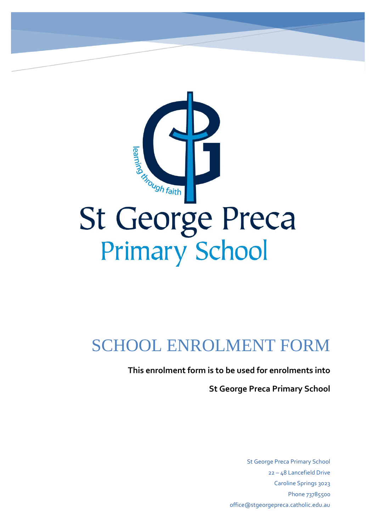

# SCHOOL ENROLMENT FORM

**This enrolment form is to be used for enrolments into** 

**St George Preca Primary School** 

St George Preca Primary School 22 – 48 Lancefield Drive Caroline Springs 3023 Phone 73785500 office@stgeorgepreca.catholic.edu.au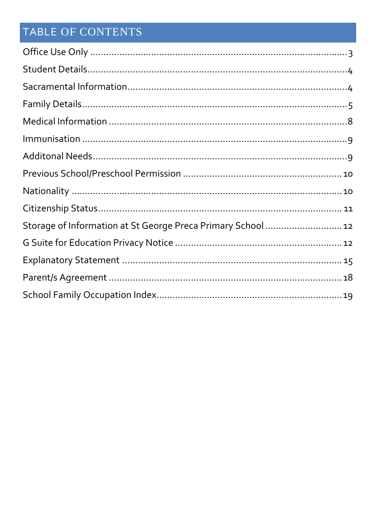## TABLE OF CONTENTS

| Storage of Information at St George Preca Primary School 12 |  |
|-------------------------------------------------------------|--|
|                                                             |  |
|                                                             |  |
|                                                             |  |
|                                                             |  |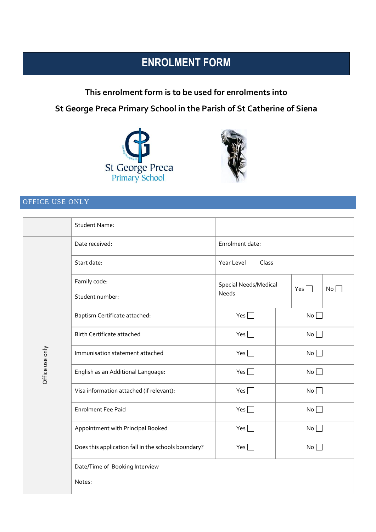## **ENROLMENT FORM**

**This enrolment form is to be used for enrolments into St George Preca Primary School in the Parish of St Catherine of Siena**





## <span id="page-2-0"></span>OFFICE USE ONLY

|                 | <b>Student Name:</b>                                |                       |  |            |    |  |
|-----------------|-----------------------------------------------------|-----------------------|--|------------|----|--|
|                 | Date received:                                      | Enrolment date:       |  |            |    |  |
|                 | Start date:                                         | Class<br>Year Level   |  |            |    |  |
|                 | Family code:                                        | Special Needs/Medical |  | Yes $\Box$ | No |  |
|                 | Student number:                                     | Needs                 |  |            |    |  |
|                 | Baptism Certificate attached:                       | Yes $\Box$            |  | No         |    |  |
|                 | <b>Birth Certificate attached</b>                   | Yes $\Box$            |  | No         |    |  |
|                 | Immunisation statement attached                     | Yes $\Box$            |  | No         |    |  |
| Office use only | English as an Additional Language:                  | Yes                   |  | No         |    |  |
|                 | Visa information attached (if relevant):            | Yes $\Box$            |  | No         |    |  |
|                 | <b>Enrolment Fee Paid</b>                           | Yes $\Box$            |  | $No \Box$  |    |  |
|                 | Appointment with Principal Booked                   | Yes                   |  | No         |    |  |
|                 | Does this application fall in the schools boundary? | Yes $\Box$<br>No      |  |            |    |  |
|                 | Date/Time of Booking Interview                      |                       |  |            |    |  |
|                 | Notes:                                              |                       |  |            |    |  |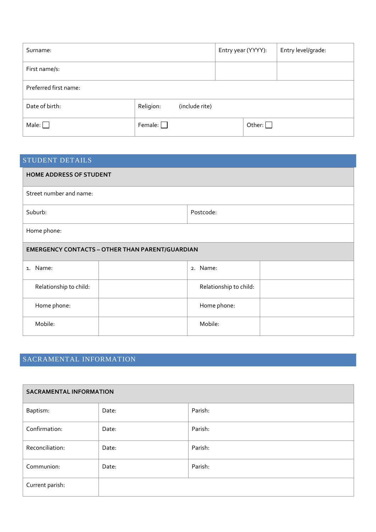| Surname:              |                |                | Entry year (YYYY): |               | Entry level/grade: |
|-----------------------|----------------|----------------|--------------------|---------------|--------------------|
| First name/s:         |                |                |                    |               |                    |
| Preferred first name: |                |                |                    |               |                    |
| Date of birth:        | Religion:      | (include rite) |                    |               |                    |
| Male: $\Box$          | Female: $\Box$ |                |                    | Other: $\Box$ |                    |

<span id="page-3-0"></span>

| <b>STUDENT DETAILS</b>                                 |                        |  |  |  |  |
|--------------------------------------------------------|------------------------|--|--|--|--|
| <b>HOME ADDRESS OF STUDENT</b>                         |                        |  |  |  |  |
| Street number and name:                                |                        |  |  |  |  |
| Suburb:                                                | Postcode:              |  |  |  |  |
| Home phone:                                            |                        |  |  |  |  |
| <b>EMERGENCY CONTACTS - OTHER THAN PARENT/GUARDIAN</b> |                        |  |  |  |  |
| 1. Name:                                               | 2. Name:               |  |  |  |  |
| Relationship to child:                                 | Relationship to child: |  |  |  |  |
| Home phone:                                            | Home phone:            |  |  |  |  |
| Mobile:                                                | Mobile:                |  |  |  |  |

## <span id="page-3-1"></span>SACRAMENTAL INFORMATION

| <b>SACRAMENTAL INFORMATION</b> |       |         |  |  |  |  |
|--------------------------------|-------|---------|--|--|--|--|
| Baptism:                       | Date: | Parish: |  |  |  |  |
| Confirmation:                  | Date: | Parish: |  |  |  |  |
| Reconciliation:                | Date: | Parish: |  |  |  |  |
| Communion:                     | Date: | Parish: |  |  |  |  |
| Current parish:                |       |         |  |  |  |  |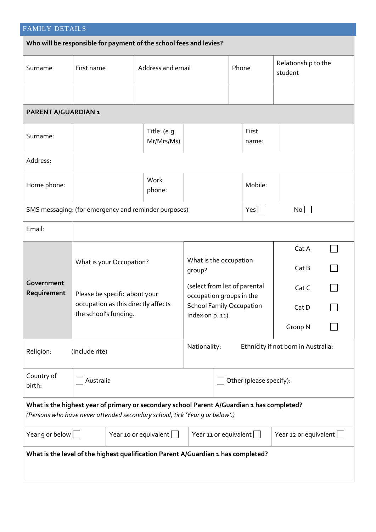<span id="page-4-0"></span>

| <b>FAMILY DETAILS</b>                                                                                                                                                     |                                                                    |  |                              |                                                           |       |                         |                                     |  |
|---------------------------------------------------------------------------------------------------------------------------------------------------------------------------|--------------------------------------------------------------------|--|------------------------------|-----------------------------------------------------------|-------|-------------------------|-------------------------------------|--|
|                                                                                                                                                                           | Who will be responsible for payment of the school fees and levies? |  |                              |                                                           |       |                         |                                     |  |
| Surname                                                                                                                                                                   | First name                                                         |  | Address and email            |                                                           | Phone |                         | Relationship to the<br>student      |  |
|                                                                                                                                                                           |                                                                    |  |                              |                                                           |       |                         |                                     |  |
| PARENT A/GUARDIAN 1                                                                                                                                                       |                                                                    |  |                              |                                                           |       |                         |                                     |  |
| Surname:                                                                                                                                                                  |                                                                    |  | Title: (e.g.<br>Mr/Mrs/Ms)   |                                                           |       | First<br>name:          |                                     |  |
| Address:                                                                                                                                                                  |                                                                    |  |                              |                                                           |       |                         |                                     |  |
| Home phone:                                                                                                                                                               |                                                                    |  | Work<br>phone:               |                                                           |       | Mobile:                 |                                     |  |
|                                                                                                                                                                           | SMS messaging: (for emergency and reminder purposes)               |  |                              |                                                           |       | $Yes \Box$              | No                                  |  |
| Email:                                                                                                                                                                    |                                                                    |  |                              |                                                           |       |                         |                                     |  |
|                                                                                                                                                                           | What is your Occupation?                                           |  |                              | What is the occupation<br>group?                          |       |                         | Cat A<br>Cat B                      |  |
| Government<br>Requirement                                                                                                                                                 | Please be specific about your                                      |  |                              | (select from list of parental<br>occupation groups in the |       |                         | Cat C                               |  |
|                                                                                                                                                                           | occupation as this directly affects<br>the school's funding.       |  |                              | <b>School Family Occupation</b><br>Index on p. 11)        |       |                         | Cat D                               |  |
|                                                                                                                                                                           |                                                                    |  |                              |                                                           |       |                         | Group N                             |  |
| Religion:                                                                                                                                                                 | (include rite)                                                     |  |                              | Nationality:                                              |       |                         | Ethnicity if not born in Australia: |  |
| Country of<br>birth:                                                                                                                                                      | Australia                                                          |  |                              |                                                           |       | Other (please specify): |                                     |  |
| What is the highest year of primary or secondary school Parent A/Guardian 1 has completed?<br>(Persons who have never attended secondary school, tick 'Year 9 or below'.) |                                                                    |  |                              |                                                           |       |                         |                                     |  |
| Year 10 or equivalent $\Box$<br>Year 9 or below $\Box$                                                                                                                    |                                                                    |  | Year 11 or equivalent $\Box$ |                                                           |       | Year 12 or equivalent   |                                     |  |
| What is the level of the highest qualification Parent A/Guardian 1 has completed?                                                                                         |                                                                    |  |                              |                                                           |       |                         |                                     |  |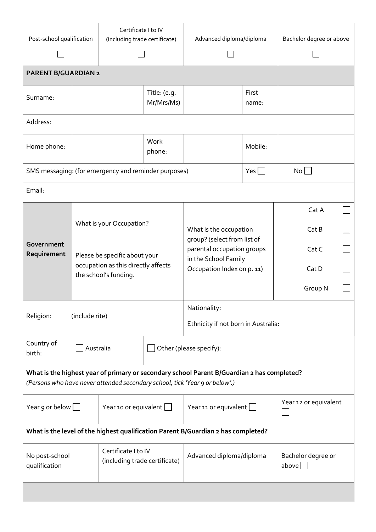| Post-school qualification                              | Certificate I to IV<br>(including trade certificate)                                                                      |                                                      |                              | Advanced diploma/diploma                                                                                                                                                  |                       | Bachelor degree or above    |  |
|--------------------------------------------------------|---------------------------------------------------------------------------------------------------------------------------|------------------------------------------------------|------------------------------|---------------------------------------------------------------------------------------------------------------------------------------------------------------------------|-----------------------|-----------------------------|--|
|                                                        |                                                                                                                           |                                                      |                              |                                                                                                                                                                           |                       |                             |  |
| <b>PARENT B/GUARDIAN 2</b>                             |                                                                                                                           |                                                      |                              |                                                                                                                                                                           |                       |                             |  |
| Surname:                                               | Title: (e.g.<br>Mr/Mrs/Ms)                                                                                                |                                                      |                              |                                                                                                                                                                           | First<br>name:        |                             |  |
| Address:                                               |                                                                                                                           |                                                      |                              |                                                                                                                                                                           |                       |                             |  |
| Home phone:                                            | Work<br>phone:                                                                                                            |                                                      |                              |                                                                                                                                                                           | Mobile:               |                             |  |
| SMS messaging: (for emergency and reminder purposes)   |                                                                                                                           |                                                      |                              |                                                                                                                                                                           | $Yes \Box$            | No                          |  |
| Email:                                                 |                                                                                                                           |                                                      |                              |                                                                                                                                                                           |                       |                             |  |
|                                                        |                                                                                                                           |                                                      |                              |                                                                                                                                                                           |                       | Cat A                       |  |
| Government<br>Requirement                              | What is your Occupation?<br>Please be specific about your<br>occupation as this directly affects<br>the school's funding. |                                                      |                              | What is the occupation<br>group? (select from list of<br>parental occupation groups<br>in the School Family<br>Occupation Index on p. 11)                                 |                       | Cat B                       |  |
|                                                        |                                                                                                                           |                                                      |                              |                                                                                                                                                                           |                       | Cat C                       |  |
|                                                        |                                                                                                                           |                                                      |                              |                                                                                                                                                                           |                       | Cat D                       |  |
|                                                        |                                                                                                                           |                                                      |                              |                                                                                                                                                                           |                       | Group N                     |  |
| Religion:                                              | (include rite)                                                                                                            |                                                      |                              | Nationality:<br>Ethnicity if not born in Australia:                                                                                                                       |                       |                             |  |
| Country of<br>birth:                                   | Australia                                                                                                                 |                                                      |                              | Other (please specify):                                                                                                                                                   |                       |                             |  |
|                                                        |                                                                                                                           |                                                      |                              | What is the highest year of primary or secondary school Parent B/Guardian 2 has completed?<br>(Persons who have never attended secondary school, tick 'Year 9 or below'.) |                       |                             |  |
| Year 9 or below $\Box$<br>Year 10 or equivalent $\Box$ |                                                                                                                           |                                                      | Year 11 or equivalent $\Box$ |                                                                                                                                                                           | Year 12 or equivalent |                             |  |
|                                                        |                                                                                                                           |                                                      |                              | What is the level of the highest qualification Parent B/Guardian 2 has completed?                                                                                         |                       |                             |  |
| No post-school<br>qualification [                      |                                                                                                                           | Certificate I to IV<br>(including trade certificate) | Advanced diploma/diploma     |                                                                                                                                                                           |                       | Bachelor degree or<br>above |  |
|                                                        |                                                                                                                           |                                                      |                              |                                                                                                                                                                           |                       |                             |  |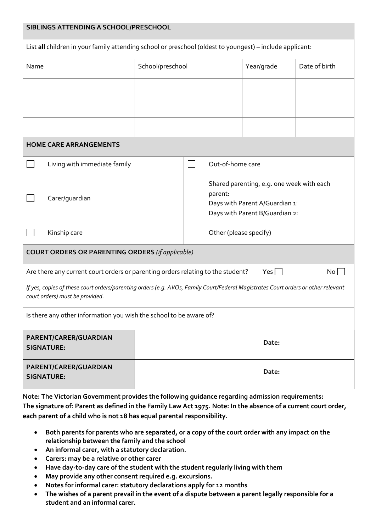| SIBLINGS ATTENDING A SCHOOL/PRESCHOOL                                                                                                                                |                  |                  |                                                                                                                                            |                        |            |               |  |
|----------------------------------------------------------------------------------------------------------------------------------------------------------------------|------------------|------------------|--------------------------------------------------------------------------------------------------------------------------------------------|------------------------|------------|---------------|--|
| List all children in your family attending school or preschool (oldest to youngest) - include applicant:                                                             |                  |                  |                                                                                                                                            |                        |            |               |  |
| Name                                                                                                                                                                 | School/preschool |                  |                                                                                                                                            |                        | Year/grade | Date of birth |  |
|                                                                                                                                                                      |                  |                  |                                                                                                                                            |                        |            |               |  |
|                                                                                                                                                                      |                  |                  |                                                                                                                                            |                        |            |               |  |
|                                                                                                                                                                      |                  |                  |                                                                                                                                            |                        |            |               |  |
| <b>HOME CARE ARRANGEMENTS</b>                                                                                                                                        |                  |                  |                                                                                                                                            |                        |            |               |  |
| Living with immediate family                                                                                                                                         |                  | Out-of-home care |                                                                                                                                            |                        |            |               |  |
| Carer/guardian                                                                                                                                                       |                  |                  | Shared parenting, e.g. one week with each<br>$\blacksquare$<br>parent:<br>Days with Parent A/Guardian 1:<br>Days with Parent B/Guardian 2: |                        |            |               |  |
| Kinship care                                                                                                                                                         |                  |                  |                                                                                                                                            | Other (please specify) |            |               |  |
| <b>COURT ORDERS OR PARENTING ORDERS (if applicable)</b>                                                                                                              |                  |                  |                                                                                                                                            |                        |            |               |  |
| Are there any current court orders or parenting orders relating to the student?                                                                                      |                  |                  |                                                                                                                                            |                        | $Yes \Box$ | No            |  |
| If yes, copies of these court orders/parenting orders (e.g. AVOs, Family Court/Federal Magistrates Court orders or other relevant<br>court orders) must be provided. |                  |                  |                                                                                                                                            |                        |            |               |  |
| Is there any other information you wish the school to be aware of?                                                                                                   |                  |                  |                                                                                                                                            |                        |            |               |  |
| PARENT/CARER/GUARDIAN<br><b>SIGNATURE:</b>                                                                                                                           |                  |                  |                                                                                                                                            |                        | Date:      |               |  |
| PARENT/CARER/GUARDIAN<br><b>SIGNATURE:</b>                                                                                                                           |                  |                  |                                                                                                                                            |                        | Date:      |               |  |

**Note: The Victorian Government provides the following guidance regarding admission requirements: The signature of: Parent as defined in the Family Law Act 1975. Note: In the absence of a current court order, each parent of a child who is not 18 has equal parental responsibility.**

- **Both parents for parents who are separated, or a copy of the court order with any impact on the relationship between the family and the school**
- **An informal carer, with a statutory declaration.**
- **Carers: may be a relative or other carer**
- **Have day-to-day care of the student with the student regularly living with them**
- **May provide any other consent required e.g. excursions.**
- **Notes for informal carer: statutory declarations apply for 12 months**
- **The wishes of a parent prevail in the event of a dispute between a parent legally responsible for a student and an informal carer.**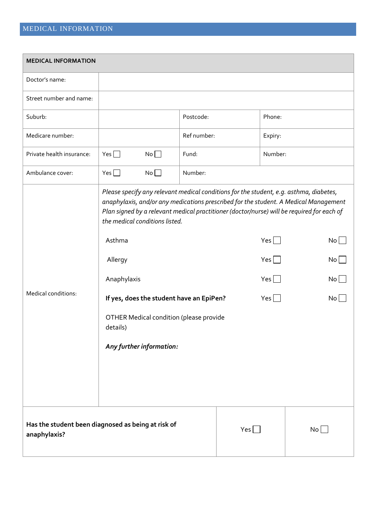<span id="page-7-0"></span>

| <b>MEDICAL INFORMATION</b> |                                                                                                                                                                                                                                                                                                                |             |                                 |         |    |  |  |
|----------------------------|----------------------------------------------------------------------------------------------------------------------------------------------------------------------------------------------------------------------------------------------------------------------------------------------------------------|-------------|---------------------------------|---------|----|--|--|
| Doctor's name:             |                                                                                                                                                                                                                                                                                                                |             |                                 |         |    |  |  |
| Street number and name:    |                                                                                                                                                                                                                                                                                                                |             |                                 |         |    |  |  |
| Suburb:                    |                                                                                                                                                                                                                                                                                                                | Postcode:   |                                 | Phone:  |    |  |  |
| Medicare number:           |                                                                                                                                                                                                                                                                                                                | Ref number: |                                 | Expiry: |    |  |  |
| Private health insurance:  | Yes $\Box$<br>$No \Box$                                                                                                                                                                                                                                                                                        | Fund:       |                                 | Number: |    |  |  |
| Ambulance cover:           | Yes $\Box$<br>No                                                                                                                                                                                                                                                                                               | Number:     |                                 |         |    |  |  |
|                            | Please specify any relevant medical conditions for the student, e.g. asthma, diabetes,<br>anaphylaxis, and/or any medications prescribed for the student. A Medical Management<br>Plan signed by a relevant medical practitioner (doctor/nurse) will be required for each of<br>the medical conditions listed. |             |                                 |         |    |  |  |
|                            | Asthma                                                                                                                                                                                                                                                                                                         |             | Yes $\Box$                      | No      |    |  |  |
|                            | Allergy                                                                                                                                                                                                                                                                                                        |             |                                 | Yes     |    |  |  |
|                            | Anaphylaxis                                                                                                                                                                                                                                                                                                    |             |                                 | Yes     |    |  |  |
| Medical conditions:        | If yes, does the student have an EpiPen?                                                                                                                                                                                                                                                                       |             | $Yes$ $\Box$<br>No <sub>1</sub> |         |    |  |  |
|                            | OTHER Medical condition (please provide<br>details)                                                                                                                                                                                                                                                            |             |                                 |         |    |  |  |
|                            | Any further information:                                                                                                                                                                                                                                                                                       |             |                                 |         |    |  |  |
|                            |                                                                                                                                                                                                                                                                                                                |             |                                 |         |    |  |  |
|                            |                                                                                                                                                                                                                                                                                                                |             |                                 |         |    |  |  |
|                            |                                                                                                                                                                                                                                                                                                                |             |                                 |         |    |  |  |
| anaphylaxis?               | Has the student been diagnosed as being at risk of                                                                                                                                                                                                                                                             |             | Yes                             |         | No |  |  |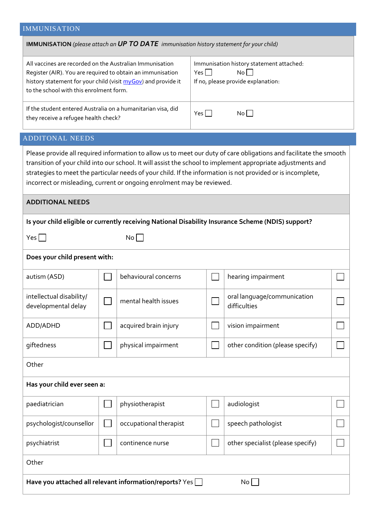## <span id="page-8-0"></span>IMMUNISATION

<span id="page-8-1"></span>

| <b>IMMUNISATION</b> (please attach an UP TO DATE immunisation history statement for your child)                                                                                                                                                                                                                                                                                                                             |                                                               |                        |                                                                                                 |                                                                                                    |  |  |
|-----------------------------------------------------------------------------------------------------------------------------------------------------------------------------------------------------------------------------------------------------------------------------------------------------------------------------------------------------------------------------------------------------------------------------|---------------------------------------------------------------|------------------------|-------------------------------------------------------------------------------------------------|----------------------------------------------------------------------------------------------------|--|--|
| All vaccines are recorded on the Australian Immunisation<br>Register (AIR). You are required to obtain an immunisation<br>history statement for your child (visit myGov) and provide it<br>to the school with this enrolment form.                                                                                                                                                                                          |                                                               |                        | Immunisation history statement attached:<br>No<br>Yes    <br>If no, please provide explanation: |                                                                                                    |  |  |
| If the student entered Australia on a humanitarian visa, did<br>$Yes \Box$<br>No<br>they receive a refugee health check?                                                                                                                                                                                                                                                                                                    |                                                               |                        |                                                                                                 |                                                                                                    |  |  |
| <b>ADDITONAL NEEDS</b>                                                                                                                                                                                                                                                                                                                                                                                                      |                                                               |                        |                                                                                                 |                                                                                                    |  |  |
| Please provide all required information to allow us to meet our duty of care obligations and facilitate the smooth<br>transition of your child into our school. It will assist the school to implement appropriate adjustments and<br>strategies to meet the particular needs of your child. If the information is not provided or is incomplete,<br>incorrect or misleading, current or ongoing enrolment may be reviewed. |                                                               |                        |                                                                                                 |                                                                                                    |  |  |
| <b>ADDITIONAL NEEDS</b>                                                                                                                                                                                                                                                                                                                                                                                                     |                                                               |                        |                                                                                                 |                                                                                                    |  |  |
|                                                                                                                                                                                                                                                                                                                                                                                                                             |                                                               |                        |                                                                                                 | Is your child eligible or currently receiving National Disability Insurance Scheme (NDIS) support? |  |  |
| Yes                                                                                                                                                                                                                                                                                                                                                                                                                         |                                                               | No                     |                                                                                                 |                                                                                                    |  |  |
| Does your child present with:                                                                                                                                                                                                                                                                                                                                                                                               |                                                               |                        |                                                                                                 |                                                                                                    |  |  |
| autism (ASD)                                                                                                                                                                                                                                                                                                                                                                                                                |                                                               | behavioural concerns   |                                                                                                 | hearing impairment                                                                                 |  |  |
| intellectual disability/<br>developmental delay                                                                                                                                                                                                                                                                                                                                                                             |                                                               | mental health issues   |                                                                                                 | oral language/communication<br>difficulties                                                        |  |  |
| ADD/ADHD                                                                                                                                                                                                                                                                                                                                                                                                                    |                                                               | acquired brain injury  |                                                                                                 | vision impairment                                                                                  |  |  |
| giftedness                                                                                                                                                                                                                                                                                                                                                                                                                  |                                                               | physical impairment    |                                                                                                 | other condition (please specify)                                                                   |  |  |
| Other                                                                                                                                                                                                                                                                                                                                                                                                                       |                                                               |                        |                                                                                                 |                                                                                                    |  |  |
| Has your child ever seen a:                                                                                                                                                                                                                                                                                                                                                                                                 |                                                               |                        |                                                                                                 |                                                                                                    |  |  |
| paediatrician                                                                                                                                                                                                                                                                                                                                                                                                               |                                                               | physiotherapist        |                                                                                                 | audiologist                                                                                        |  |  |
| psychologist/counsellor                                                                                                                                                                                                                                                                                                                                                                                                     |                                                               | occupational therapist |                                                                                                 | speech pathologist                                                                                 |  |  |
| psychiatrist                                                                                                                                                                                                                                                                                                                                                                                                                |                                                               | continence nurse       |                                                                                                 | other specialist (please specify)                                                                  |  |  |
| Other                                                                                                                                                                                                                                                                                                                                                                                                                       |                                                               |                        |                                                                                                 |                                                                                                    |  |  |
|                                                                                                                                                                                                                                                                                                                                                                                                                             | Have you attached all relevant information/reports? Yes<br>No |                        |                                                                                                 |                                                                                                    |  |  |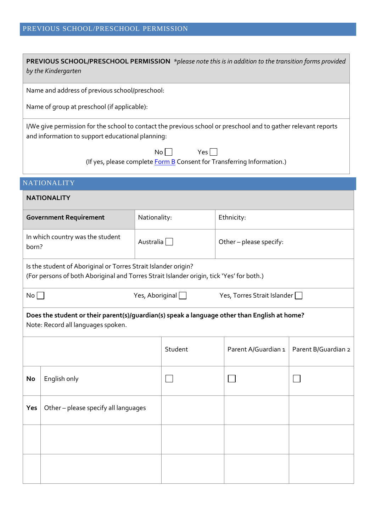## <span id="page-9-0"></span>PREVIOUS SCHOOL/PRESCHOOL PERMISSION

<span id="page-9-1"></span>

|                                                        | <b>PREVIOUS SCHOOL/PRESCHOOL PERMISSION</b> *please note this is in addition to the transition forms provided<br>by the Kindergarten                               |              |                        |                                                                        |                     |  |
|--------------------------------------------------------|--------------------------------------------------------------------------------------------------------------------------------------------------------------------|--------------|------------------------|------------------------------------------------------------------------|---------------------|--|
|                                                        | Name and address of previous school/preschool:                                                                                                                     |              |                        |                                                                        |                     |  |
|                                                        | Name of group at preschool (if applicable):                                                                                                                        |              |                        |                                                                        |                     |  |
|                                                        | I/We give permission for the school to contact the previous school or preschool and to gather relevant reports<br>and information to support educational planning: |              |                        |                                                                        |                     |  |
|                                                        |                                                                                                                                                                    | No           | Yes                    | (If yes, please complete Form B Consent for Transferring Information.) |                     |  |
|                                                        | <b>NATIONALITY</b>                                                                                                                                                 |              |                        |                                                                        |                     |  |
|                                                        | <b>NATIONALITY</b>                                                                                                                                                 |              |                        |                                                                        |                     |  |
|                                                        | <b>Government Requirement</b>                                                                                                                                      | Nationality: |                        | Ethnicity:                                                             |                     |  |
| In which country was the student<br>Australia<br>born? |                                                                                                                                                                    |              |                        | Other-please specify:                                                  |                     |  |
|                                                        | Is the student of Aboriginal or Torres Strait Islander origin?<br>(For persons of both Aboriginal and Torres Strait Islander origin, tick 'Yes' for both.)         |              |                        |                                                                        |                     |  |
| No                                                     |                                                                                                                                                                    |              | Yes, Aboriginal $\Box$ | Yes, Torres Strait Islander                                            |                     |  |
|                                                        | Does the student or their parent(s)/guardian(s) speak a language other than English at home?<br>Note: Record all languages spoken.                                 |              |                        |                                                                        |                     |  |
|                                                        |                                                                                                                                                                    |              | Student                | Parent A/Guardian 1                                                    | Parent B/Guardian 2 |  |
| No                                                     | English only                                                                                                                                                       |              |                        |                                                                        |                     |  |
| Yes                                                    | Other-please specify all languages                                                                                                                                 |              |                        |                                                                        |                     |  |
|                                                        |                                                                                                                                                                    |              |                        |                                                                        |                     |  |
|                                                        |                                                                                                                                                                    |              |                        |                                                                        |                     |  |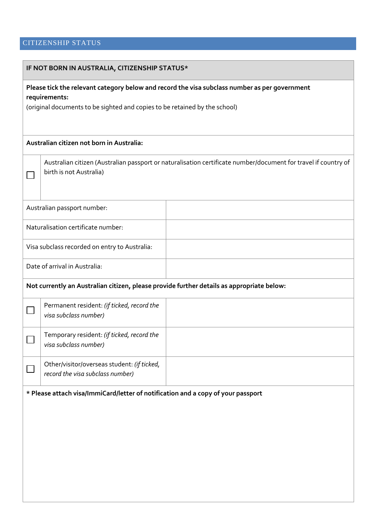## <span id="page-10-0"></span>CITIZENSHIP STATUS

| IF NOT BORN IN AUSTRALIA, CITIZENSHIP STATUS*                                                                                             |  |  |  |  |  |  |  |
|-------------------------------------------------------------------------------------------------------------------------------------------|--|--|--|--|--|--|--|
| Please tick the relevant category below and record the visa subclass number as per government<br>requirements:                            |  |  |  |  |  |  |  |
| (original documents to be sighted and copies to be retained by the school)                                                                |  |  |  |  |  |  |  |
| Australian citizen not born in Australia:                                                                                                 |  |  |  |  |  |  |  |
| Australian citizen (Australian passport or naturalisation certificate number/document for travel if country of<br>birth is not Australia) |  |  |  |  |  |  |  |
| Australian passport number:                                                                                                               |  |  |  |  |  |  |  |
| Naturalisation certificate number:                                                                                                        |  |  |  |  |  |  |  |
| Visa subclass recorded on entry to Australia:                                                                                             |  |  |  |  |  |  |  |
| Date of arrival in Australia:                                                                                                             |  |  |  |  |  |  |  |
| Not currently an Australian citizen, please provide further details as appropriate below:                                                 |  |  |  |  |  |  |  |
| Permanent resident: (if ticked, record the<br>visa subclass number)                                                                       |  |  |  |  |  |  |  |
| Temporary resident: (if ticked, record the<br>visa subclass number)                                                                       |  |  |  |  |  |  |  |
| Other/visitor/overseas student: (if ticked,<br>record the visa subclass number)                                                           |  |  |  |  |  |  |  |
| * Please attach visa/ImmiCard/letter of notification and a copy of your passport                                                          |  |  |  |  |  |  |  |
|                                                                                                                                           |  |  |  |  |  |  |  |
|                                                                                                                                           |  |  |  |  |  |  |  |
|                                                                                                                                           |  |  |  |  |  |  |  |
|                                                                                                                                           |  |  |  |  |  |  |  |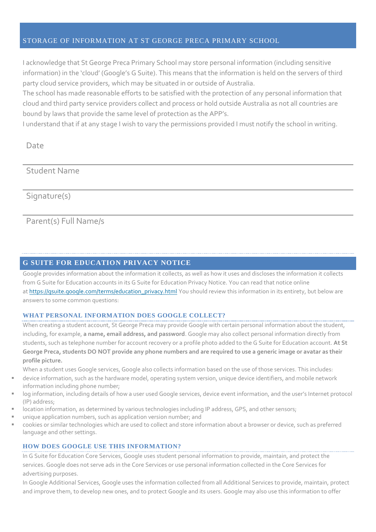#### <span id="page-11-0"></span>STORAGE OF INFORMATION AT ST GEORGE PRECA PRIMARY SCHOOL

I acknowledge that St George Preca Primary School may store personal information (including sensitive information) in the 'cloud' (Google's G Suite). This means that the information is held on the servers of third party cloud service providers, which may be situated in or outside of Australia.

The school has made reasonable efforts to be satisfied with the protection of any personal information that cloud and third party service providers collect and process or hold outside Australia as not all countries are bound by laws that provide the same level of protection as the APP's.

I understand that if at any stage I wish to vary the permissions provided I must notify the school in writing.

Date

Student Name

Signature(s)

## Parent(s) Full Name/s

#### <span id="page-11-1"></span>**G SUITE FOR EDUCATION PRIVACY NOTICE**

Google provides information about the information it collects, as well as how it uses and discloses the information it collects from G Suite for Education accounts in its G Suite for Education Privacy Notice. You can read that notice online at [https://gsuite.google.com/terms/education\\_privacy.html](https://gsuite.google.com/terms/education_privacy.html) You should review this information in its entirety, but below are answers to some common questions:

#### **WHAT PERSONAL INFORMATION DOES GOOGLE COLLECT?**

When creating a student account, St George Preca may provide Google with certain personal information about the student, including, for example, **a name, email address, and password**. Google may also collect personal information directly from students, such as telephone number for account recovery or a profile photo added to the G Suite for Education account. **At St George Preca, students DO NOT provide any phone numbers and are required to use a generic image or avatar as their profile picture.**

When a student uses Google services, Google also collects information based on the use of those services. This includes:

- device information, such as the hardware model, operating system version, unique device identifiers, and mobile network information including phone number;
- log information, including details of how a user used Google services, device event information, and the user's Internet protocol (IP) address;
- location information, as determined by various technologies including IP address, GPS, and other sensors;
- unique application numbers, such as application version number; and
- cookies or similar technologies which are used to collect and store information about a browser or device, such as preferred language and other settings.

#### **HOW DOES GOOGLE USE THIS INFORMATION?**

In G Suite for Education Core Services, Google uses student personal information to provide, maintain, and protect the services. Google does not serve ads in the Core Services or use personal information collected in the Core Services for advertising purposes.

In Google Additional Services, Google uses the information collected from all Additional Services to provide, maintain, protect and improve them, to develop new ones, and to protect Google and its users. Google may also use this information to offer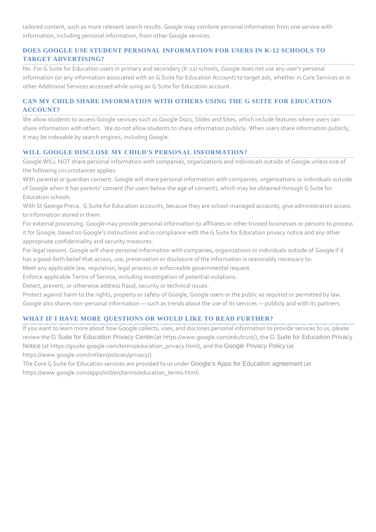tailored content, such as more relevant search results. Google may combine personal information from one service with information, including personal information, from other Google services.

#### **DOES GOOGLE USE STUDENT PERSONAL INFORMATION FOR USERS IN K-12 SCHOOLS TO TARGET ADVERTISING?**

No. For G Suite for Education users in primary and secondary (K-12) schools, Google does not use any user's personal information (or any information associated with an G Suite for Education Account) to target ads, whether in Core Services or in other Additional Services accessed while using an G Suite for Education account.

#### **CAN MY CHILD SHARE INFORMATION WITH OTHERS USING THE G SUITE FOR EDUCATION ACCOUNT?**

We allow students to access Google services such as Google Docs, Slides and Sites, which include features where users can share information with others. We do not allow students to share information publicly. When users share information publicly, it may be indexable by search engines, including Google.

#### **WILL GOOGLE DISCLOSE MY CHILD'S PERSONAL INFORMATION?**

Google WILL NOT share personal information with companies, organizations and individuals outside of Google unless one of the following circumstances applies:

With parental or guardian consent. Google will share personal information with companies, organizations or individuals outside of Google when it has parents' consent (for users below the age of consent), which may be obtained through G Suite for Education schools.

With St George Preca. G Suite for Education accounts, because they are school-managed accounts, give administrators access to information stored in them.

For external processing. Google may provide personal information to affiliates or other trusted businesses or persons to process it for Google, based on Google's instructions and in compliance with the G Suite for Education privacy notice and any other appropriate confidentiality and security measures.

For legal reasons. Google will share personal information with companies, organizations or individuals outside of Google if it has a good-faith belief that access, use, preservation or disclosure of the information is reasonably necessary to:

Meet any applicable law, regulation, legal process or enforceable governmental request.

Enforce applicable Terms of Service, including investigation of potential violations.

Detect, prevent, or otherwise address fraud, security or technical issues.

Protect against harm to the rights, property or safety of Google, Google users or the public as required or permitted by law. Google also shares non-personal information — such as trends about the use of its services — publicly and with its partners.

#### **WHAT IF I HAVE MORE QUESTIONS OR WOULD LIKE TO READ FURTHER?**

If you want to learn more about how Google collects, uses, and discloses personal information to provide services to us, please review the [G Suite for Education Privacy Center](https://www.google.com/edu/trust/)(at https://www.google.com/edu/trust/), the [G Suite for Education Privacy](https://gsuite.google.com/terms/education_privacy.html)  [Notice](https://gsuite.google.com/terms/education_privacy.html) (at https://gsuite.google.com/terms/education\_privacy.html), and the [Google Privacy Policy](https://www.google.com/intl/en/policies/privacy/) (at https://www.google.com/intl/en/policies/privacy/).

The Core G Suite for Education services are provided to us under [Google's Apps for Education agreement](https://www.google.com/apps/intl/en/terms/education_terms.html) (at https://www.google.com/apps/intl/en/terms/education\_terms.html)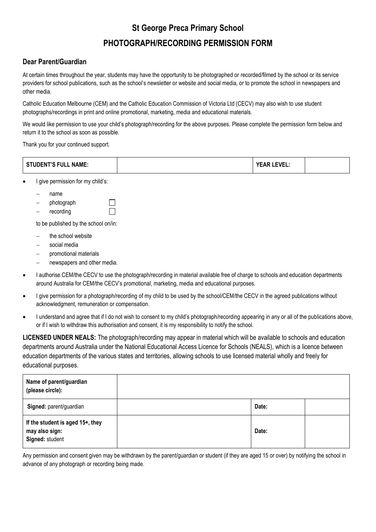## **St George Preca Primary School**

## **PHOTOGRAPH/RECORDING PERMISSION FORM**

#### **Dear Parent/Guardian**

At certain times throughout the year, students may have the opportunity to be photographed or recorded/filmed by the school or its service providers for school publications, such as the school's newsletter or website and social media, or to promote the school in newspapers and other media.

Catholic Education Melbourne (CEM) and the Catholic Education Commission of Victoria Ltd (CECV) may also wish to use student photographs/recordings in print and online promotional, marketing, media and educational materials.

We would like permission to use your child's photograph/recording for the above purposes. Please complete the permission form below and return it to the school as soon as possible.

Thank you for your continued support.

| <b>STUDENT'S FULL NAME:</b> |  | LEVEL: |  |
|-----------------------------|--|--------|--|
|-----------------------------|--|--------|--|

- I give permission for my child's:
	- name
	- photograph
	- recording

to be published by the school on/in:

П

- the school website
- social media
- promotional materials
- newspapers and other media.
- I authorise CEM/the CECV to use the photograph/recording in material available free of charge to schools and education departments around Australia for CEM/the CECV's promotional, marketing, media and educational purposes.
- I give permission for a photograph/recording of my child to be used by the school/CEM/the CECV in the agreed publications without acknowledgment, remuneration or compensation.
- I understand and agree that if I do not wish to consent to my child's photograph/recording appearing in any or all of the publications above, or if I wish to withdraw this authorisation and consent, it is my responsibility to notify the school.

**LICENSED UNDER NEALS:** The photograph/recording may appear in material which will be available to schools and education departments around Australia under the National Educational Access Licence for Schools (NEALS), which is a licence between education departments of the various states and territories, allowing schools to use licensed material wholly and freely for educational purposes.

| Name of parent/guardian<br>(please circle):                           |       |  |
|-----------------------------------------------------------------------|-------|--|
| Signed: parent/guardian                                               | Date: |  |
| If the student is aged 15+, they<br>may also sign:<br>Signed: student | Date: |  |

Any permission and consent given may be withdrawn by the parent/guardian or student (if they are aged 15 or over) by notifying the school in advance of any photograph or recording being made.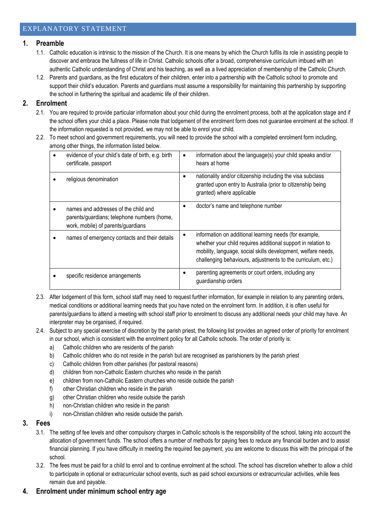#### <span id="page-14-0"></span>**1. Preamble**

- 1.1. Catholic education is intrinsic to the mission of the Church. It is one means by which the Church fulfils its role in assisting people to discover and embrace the fullness of life in Christ. Catholic schools offer a broad, comprehensive curriculum imbued with an authentic Catholic understanding of Christ and his teaching, as well as a lived appreciation of membership of the Catholic Church.
- 1.2. Parents and guardians, as the first educators of their children, enter into a partnership with the Catholic school to promote and support their child's education. Parents and guardians must assume a responsibility for maintaining this partnership by supporting the school in furthering the spiritual and academic life of their children.

#### **2. Enrolment**

- 2.1. You are required to provide particular information about your child during the enrolment process, both at the application stage and if the school offers your child a place. Please note that lodgement of the enrolment form does not guarantee enrolment at the school. If the information requested is not provided, we may not be able to enrol your child.
- 2.2. To meet school and government requirements, you will need to provide the school with a completed enrolment form including, among other things, the information listed below.

| evidence of your child's date of birth, e.g. birth<br>certificate, passport                                               | information about the language(s) your child speaks and/or<br>hears at home                                                                                                                                                                              |
|---------------------------------------------------------------------------------------------------------------------------|----------------------------------------------------------------------------------------------------------------------------------------------------------------------------------------------------------------------------------------------------------|
| religious denomination                                                                                                    | nationality and/or citizenship including the visa subclass<br>granted upon entry to Australia (prior to citizenship being<br>granted) where applicable                                                                                                   |
| names and addresses of the child and<br>parents/guardians; telephone numbers (home,<br>work, mobile) of parents/guardians | doctor's name and telephone number                                                                                                                                                                                                                       |
| names of emergency contacts and their details                                                                             | information on additional learning needs (for example,<br>whether your child requires additional support in relation to<br>mobility, language, social skills development, welfare needs,<br>challenging behaviours, adjustments to the curriculum, etc.) |
| specific residence arrangements                                                                                           | parenting agreements or court orders, including any<br>guardianship orders                                                                                                                                                                               |

- 2.3. After lodgement of this form, school staff may need to request further information, for example in relation to any parenting orders, medical conditions or additional learning needs that you have noted on the enrolment form. In addition, it is often useful for parents/guardians to attend a meeting with school staff prior to enrolment to discuss any additional needs your child may have. An interpreter may be organised, if required.
- 2.4. Subject to any special exercise of discretion by the parish priest, the following list provides an agreed order of priority for enrolment in our school, which is consistent with the enrolment policy for all Catholic schools. The order of priority is:
	- a) Catholic children who are residents of the parish
	- b) Catholic children who do not reside in the parish but are recognised as parishioners by the parish priest
	- c) Catholic children from other parishes (for pastoral reasons)
	- d) children from non-Catholic Eastern churches who reside in the parish
	- e) children from non-Catholic Eastern churches who reside outside the parish
	- f) other Christian children who reside in the parish
	- g) other Christian children who reside outside the parish
	- h) non-Christian children who reside in the parish
	- i) non-Christian children who reside outside the parish.
- **3. Fees**
	- 3.1. The setting of fee levels and other compulsory charges in Catholic schools is the responsibility of the school, taking into account the allocation of government funds. The school offers a number of methods for paying fees to reduce any financial burden and to assist financial planning. If you have difficulty in meeting the required fee payment, you are welcome to discuss this with the principal of the school.
	- 3.2. The fees must be paid for a child to enrol and to continue enrolment at the school. The school has discretion whether to allow a child to participate in optional or extracurricular school events, such as paid school excursions or extracurricular activities, while fees remain due and payable.
- **4. Enrolment under minimum school entry age**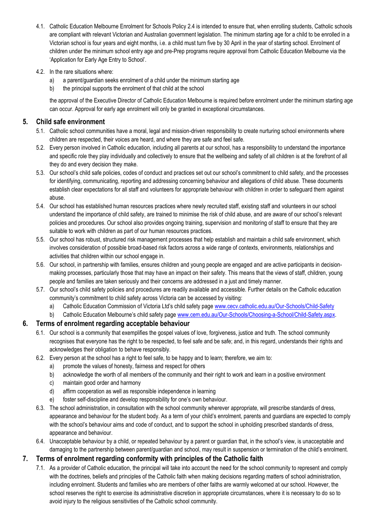- 4.1. Catholic Education Melbourne Enrolment for Schools Policy 2.4 is intended to ensure that, when enrolling students, Catholic schools are compliant with relevant Victorian and Australian government legislation. The minimum starting age for a child to be enrolled in a Victorian school is four years and eight months, i.e. a child must turn five by 30 April in the year of starting school. Enrolment of children under the minimum school entry age and pre-Prep programs require approval from Catholic Education Melbourne via the 'Application for Early Age Entry to School'.
- 4.2. In the rare situations where:
	- a) a parent/guardian seeks enrolment of a child under the minimum starting age
	- b) the principal supports the enrolment of that child at the school

the approval of the Executive Director of Catholic Education Melbourne is required before enrolment under the minimum starting age can occur. Approval for early age enrolment will only be granted in exceptional circumstances.

#### **5. Child safe environment**

- 5.1. Catholic school communities have a moral, legal and mission-driven responsibility to create nurturing school environments where children are respected, their voices are heard, and where they are safe and feel safe.
- 5.2. Every person involved in Catholic education, including all parents at our school, has a responsibility to understand the importance and specific role they play individually and collectively to ensure that the wellbeing and safety of all children is at the forefront of all they do and every decision they make.
- 5.3. Our school's child safe policies, codes of conduct and practices set out our school's commitment to child safety, and the processes for identifying, communicating, reporting and addressing concerning behaviour and allegations of child abuse. These documents establish clear expectations for all staff and volunteers for appropriate behaviour with children in order to safeguard them against abuse.
- 5.4. Our school has established human resources practices where newly recruited staff, existing staff and volunteers in our school understand the importance of child safety, are trained to minimise the risk of child abuse, and are aware of our school's relevant policies and procedures. Our school also provides ongoing training, supervision and monitoring of staff to ensure that they are suitable to work with children as part of our human resources practices.
- 5.5. Our school has robust, structured risk management processes that help establish and maintain a child safe environment, which involves consideration of possible broad-based risk factors across a wide range of contexts, environments, relationships and activities that children within our school engage in.
- 5.6. Our school, in partnership with families, ensures children and young people are engaged and are active participants in decisionmaking processes, particularly those that may have an impact on their safety. This means that the views of staff, children, young people and families are taken seriously and their concerns are addressed in a just and timely manner.
- 5.7. Our school's child safety policies and procedures are readily available and accessible. Further details on the Catholic education community's commitment to child safety across Victoria can be accessed by visiting:
	- a) Catholic Education Commission of Victoria Ltd's child safety page [www.cecv.catholic.edu.au/Our-Schools/Child-Safety](http://www.cecv.catholic.edu.au/Our-Schools/Child-Safety)
	- b) Catholic Education Melbourne's child safety page [www.cem.edu.au/Our-Schools/Choosing-a-School/Child-Safety.aspx.](https://www.cem.edu.au/Our-Schools/Choosing-a-School/Child-Safety.aspx)

#### **6. Terms of enrolment regarding acceptable behaviour**

- 6.1. Our school is a community that exemplifies the gospel values of love, forgiveness, justice and truth. The school community recognises that everyone has the right to be respected, to feel safe and be safe; and, in this regard, understands their rights and acknowledges their obligation to behave responsibly.
- 6.2. Every person at the school has a right to feel safe, to be happy and to learn; therefore, we aim to:
	- a) promote the values of honesty, fairness and respect for others
	- b) acknowledge the worth of all members of the community and their right to work and learn in a positive environment
	- c) maintain good order and harmony
	- d) affirm cooperation as well as responsible independence in learning
	- e) foster self-discipline and develop responsibility for one's own behaviour.
- 6.3. The school administration, in consultation with the school community wherever appropriate, will prescribe standards of dress, appearance and behaviour for the student body. As a term of your child's enrolment, parents and guardians are expected to comply with the school's behaviour aims and code of conduct, and to support the school in upholding prescribed standards of dress, appearance and behaviour.
- 6.4. Unacceptable behaviour by a child, or repeated behaviour by a parent or guardian that, in the school's view, is unacceptable and damaging to the partnership between parent/guardian and school, may result in suspension or termination of the child's enrolment.

#### **7. Terms of enrolment regarding conformity with principles of the Catholic faith**

7.1. As a provider of Catholic education, the principal will take into account the need for the school community to represent and comply with the doctrines, beliefs and principles of the Catholic faith when making decisions regarding matters of school administration, including enrolment. Students and families who are members of other faiths are warmly welcomed at our school. However, the school reserves the right to exercise its administrative discretion in appropriate circumstances, where it is necessary to do so to avoid injury to the religious sensitivities of the Catholic school community.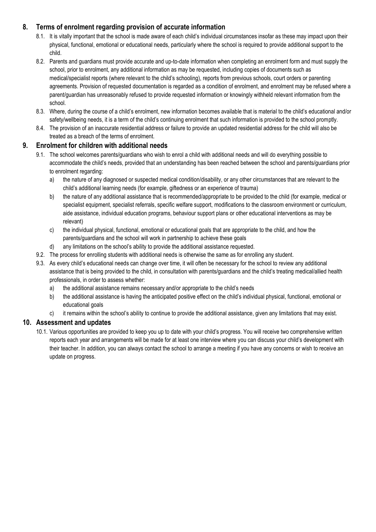#### **8. Terms of enrolment regarding provision of accurate information**

- 8.1. It is vitally important that the school is made aware of each child's individual circumstances insofar as these may impact upon their physical, functional, emotional or educational needs, particularly where the school is required to provide additional support to the child.
- 8.2. Parents and guardians must provide accurate and up-to-date information when completing an enrolment form and must supply the school, prior to enrolment, any additional information as may be requested, including copies of documents such as medical/specialist reports (where relevant to the child's schooling), reports from previous schools, court orders or parenting agreements. Provision of requested documentation is regarded as a condition of enrolment, and enrolment may be refused where a parent/guardian has unreasonably refused to provide requested information or knowingly withheld relevant information from the school.
- 8.3. Where, during the course of a child's enrolment, new information becomes available that is material to the child's educational and/or safety/wellbeing needs, it is a term of the child's continuing enrolment that such information is provided to the school promptly.
- 8.4. The provision of an inaccurate residential address or failure to provide an updated residential address for the child will also be treated as a breach of the terms of enrolment.

#### **9. Enrolment for children with additional needs**

- 9.1. The school welcomes parents/guardians who wish to enrol a child with additional needs and will do everything possible to accommodate the child's needs, provided that an understanding has been reached between the school and parents/guardians prior to enrolment regarding:
	- a) the nature of any diagnosed or suspected medical condition/disability, or any other circumstances that are relevant to the child's additional learning needs (for example, giftedness or an experience of trauma)
	- b) the nature of any additional assistance that is recommended/appropriate to be provided to the child (for example, medical or specialist equipment, specialist referrals, specific welfare support, modifications to the classroom environment or curriculum, aide assistance, individual education programs, behaviour support plans or other educational interventions as may be relevant)
	- c) the individual physical, functional, emotional or educational goals that are appropriate to the child, and how the parents/guardians and the school will work in partnership to achieve these goals
	- d) any limitations on the school's ability to provide the additional assistance requested.
- 9.2. The process for enrolling students with additional needs is otherwise the same as for enrolling any student.
- 9.3. As every child's educational needs can change over time, it will often be necessary for the school to review any additional assistance that is being provided to the child, in consultation with parents/guardians and the child's treating medical/allied health professionals, in order to assess whether:
	- a) the additional assistance remains necessary and/or appropriate to the child's needs
	- b) the additional assistance is having the anticipated positive effect on the child's individual physical, functional, emotional or educational goals
	- c) it remains within the school's ability to continue to provide the additional assistance, given any limitations that may exist.

#### **10. Assessment and updates**

10.1. Various opportunities are provided to keep you up to date with your child's progress. You will receive two comprehensive written reports each year and arrangements will be made for at least one interview where you can discuss your child's development with their teacher. In addition, you can always contact the school to arrange a meeting if you have any concerns or wish to receive an update on progress.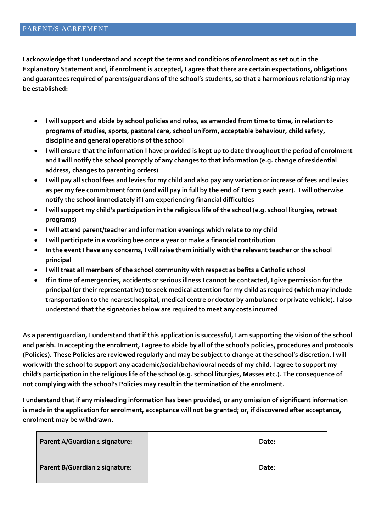<span id="page-17-0"></span>**I acknowledge that I understand and accept the terms and conditions of enrolment as set out in the Explanatory Statement and, if enrolment is accepted, I agree that there are certain expectations, obligations and guarantees required of parents/guardians of the school's students, so that a harmonious relationship may be established:**

- **I will support and abide by school policies and rules, as amended from time to time, in relation to programs of studies, sports, pastoral care, school uniform, acceptable behaviour, child safety, discipline and general operations of the school**
- **I will ensure that the information I have provided is kept up to date throughout the period of enrolment and I will notify the school promptly of any changes to that information (e.g. change of residential address, changes to parenting orders)**
- **I will pay all school fees and levies for my child and also pay any variation or increase of fees and levies as per my fee commitment form (and will pay in full by the end of Term 3 each year). I will otherwise notify the school immediately if I am experiencing financial difficulties**
- **I will support my child's participation in the religious life of the school (e.g. school liturgies, retreat programs)**
- **I will attend parent/teacher and information evenings which relate to my child**
- **I will participate in a working bee once a year or make a financial contribution**
- **In the event I have any concerns, I will raise them initially with the relevant teacher or the school principal**
- **I will treat all members of the school community with respect as befits a Catholic school**
- **If in time of emergencies, accidents or serious illness I cannot be contacted, I give permission for the principal (or their representative) to seek medical attention for my child as required (which may include transportation to the nearest hospital, medical centre or doctor by ambulance or private vehicle). I also understand that the signatories below are required to meet any costs incurred**

**As a parent/guardian, I understand that if this application is successful, I am supporting the vision of the school and parish. In accepting the enrolment, I agree to abide by all of the school's policies, procedures and protocols (Policies). These Policies are reviewed regularly and may be subject to change at the school's discretion. I will work with the school to support any academic/social/behavioural needs of my child. I agree to support my child's participation in the religious life of the school (e.g. school liturgies, Masses etc.). The consequence of not complying with the school's Policies may result in the termination of the enrolment.**

**I understand that if any misleading information has been provided, or any omission of significant information is made in the application for enrolment, acceptance will not be granted; or, if discovered after acceptance, enrolment may be withdrawn.**

| Parent A/Guardian 1 signature: | Date: |
|--------------------------------|-------|
| Parent B/Guardian 2 signature: | Date: |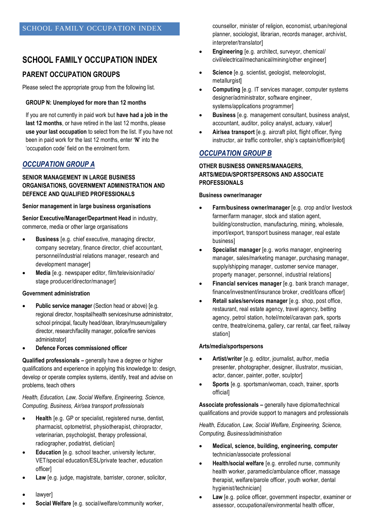## <span id="page-18-0"></span>**SCHOOL FAMILY OCCUPATION INDEX**

### **PARENT OCCUPATION GROUPS**

Please select the appropriate group from the following list.

#### **GROUP N: Unemployed for more than 12 months**

If you are not currently in paid work but **have had a job in the last 12 months**, or have retired in the last 12 months, please **use your last occupation** to select from the list. If you have not been in paid work for the last 12 months, enter **'N'** into the 'occupation code' field on the enrolment form.

#### *OCCUPATION GROUP A*

#### **SENIOR MANAGEMENT IN LARGE BUSINESS ORGANISATIONS, GOVERNMENT ADMINISTRATION AND DEFENCE AND QUALIFIED PROFESSIONALS**

#### **Senior management in large business organisations**

**Senior Executive/Manager/Department Head** in industry, commerce, media or other large organisations

- **Business** [e.g. chief executive, managing director, company secretary, finance director, chief accountant, personnel/industrial relations manager, research and development manager]
- **Media** [e.g. newspaper editor, film/television/radio/ stage producer/director/manager]

#### **Government administration**

- **Public service manager** (Section head or above) [e.g. regional director, hospital/health services/nurse administrator, school principal, faculty head/dean, library/museum/gallery director, research/facility manager, police/fire services administrator]
- **Defence Forces commissioned officer**

**Qualified professionals –** generally have a degree or higher qualifications and experience in applying this knowledge to: design, develop or operate complex systems, identify, treat and advise on problems, teach others

#### *Health, Education, Law, Social Welfare, Engineering, Science, Computing, Business, Air/sea transport professionals*

- **Health** [e.g. GP or specialist, registered nurse, dentist, pharmacist, optometrist, physiotherapist, chiropractor, veterinarian, psychologist, therapy professional, radiographer, podiatrist, dietician]
- **Education** [e.g. school teacher, university lecturer, VET/special education/ESL/private teacher, education officer]
- **Law** [e.g. judge, magistrate, barrister, coroner, solicitor,
- lawyer]
- **Social Welfare** [e.g. social/welfare/community worker,

counsellor, minister of religion, economist, urban/regional planner, sociologist, librarian, records manager, archivist, interpreter/translator]

- **Engineering** [e.g. architect, surveyor, chemical/ civil/electrical/mechanical/mining/other engineer]
- **Science** [e.g. scientist, geologist, meteorologist, metallurgist]
- **Computing** [e.g. IT services manager, computer systems designer/administrator, software engineer, systems/applications programmer]
- **Business** [e.g. management consultant, business analyst, accountant, auditor, policy analyst, actuary, valuer]
- **Air/sea transport** [e.g. aircraft pilot, flight officer, flying instructor, air traffic controller, ship's captain/officer/pilot]

#### *OCCUPATION GROUP B*

#### **OTHER BUSINESS OWNERS/MANAGERS, ARTS/MEDIA/SPORTSPERSONS AND ASSOCIATE PROFESSIONALS**

#### **Business owner/manager**

- **Farm/business owner/manager** [e.g. crop and/or livestock farmer/farm manager, stock and station agent, building/construction, manufacturing, mining, wholesale, import/export, transport business manager, real estate business]
- **Specialist manager** [e.g. works manager, engineering manager, sales/marketing manager, purchasing manager, supply/shipping manager, customer service manager, property manager, personnel, industrial relations]
- **Financial services manager** [e.g. bank branch manager, finance/investment/insurance broker, credit/loans officer]
- **Retail sales/services manager** [e.g. shop, post office, restaurant, real estate agency, travel agency, betting agency, petrol station, hotel/motel/caravan park, sports centre, theatre/cinema, gallery, car rental, car fleet, railway station]

#### **Arts/media/sportspersons**

- **Artist/writer** [e.g. editor, journalist, author, media presenter, photographer, designer, illustrator, musician, actor, dancer, painter, potter, sculptor]
- **Sports** [e.g. sportsman/woman, coach, trainer, sports official]

**Associate professionals –** generally have diploma/technical qualifications and provide support to managers and professionals

*Health, Education, Law, Social Welfare, Engineering, Science, Computing, Business/administration*

- **Medical, science, building, engineering, computer**  technician/associate professional
- **Health/social welfare** [e.g. enrolled nurse, community health worker, paramedic/ambulance officer, massage therapist, welfare/parole officer, youth worker, dental hygienist/technician]
- **Law** [e.g. police officer, government inspector, examiner or assessor, occupational/environmental health officer,